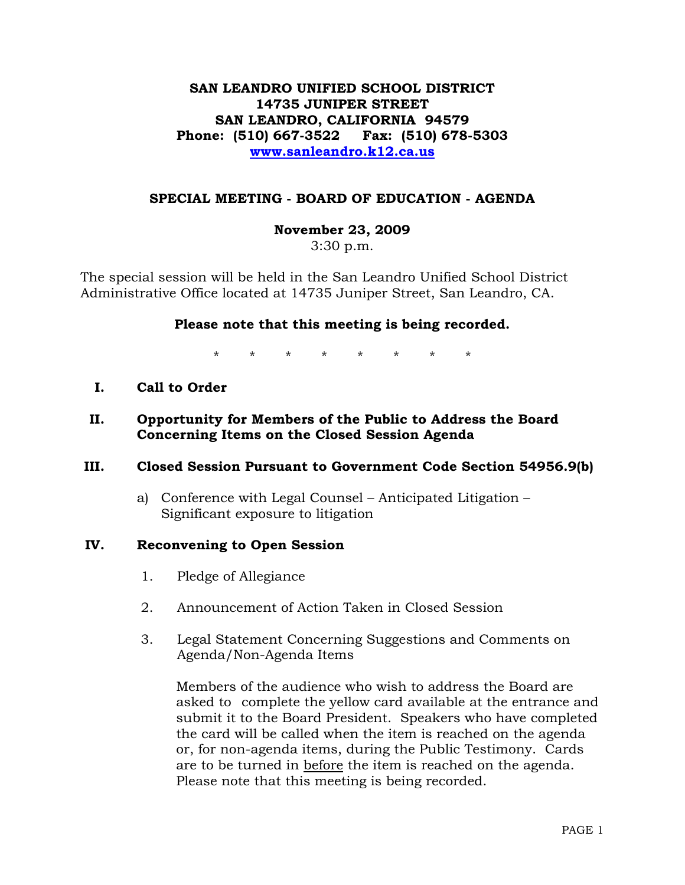# **SAN LEANDRO UNIFIED SCHOOL DISTRICT 14735 JUNIPER STREET SAN LEANDRO, CALIFORNIA 94579 Phone: (510) 667-3522 Fax: (510) 678-5303 [www.sanleandro.k12.ca.us](http://www.sanleandro.k12.ca.us/)**

## **SPECIAL MEETING - BOARD OF EDUCATION - AGENDA**

### **November 23, 2009**

3:30 p.m.

The special session will be held in the San Leandro Unified School District Administrative Office located at 14735 Juniper Street, San Leandro, CA.

### **Please note that this meeting is being recorded.**

\* \* \* \* \* \* \* \*

- **I. Call to Order**
- **II. Opportunity for Members of the Public to Address the Board Concerning Items on the Closed Session Agenda**

### **III. Closed Session Pursuant to Government Code Section 54956.9(b)**

a) Conference with Legal Counsel – Anticipated Litigation – Significant exposure to litigation

### **IV. Reconvening to Open Session**

- 1. Pledge of Allegiance
- 2. Announcement of Action Taken in Closed Session
- 3. Legal Statement Concerning Suggestions and Comments on Agenda/Non-Agenda Items

 Members of the audience who wish to address the Board are asked to complete the yellow card available at the entrance and submit it to the Board President. Speakers who have completed the card will be called when the item is reached on the agenda or, for non-agenda items, during the Public Testimony. Cards are to be turned in before the item is reached on the agenda. Please note that this meeting is being recorded.